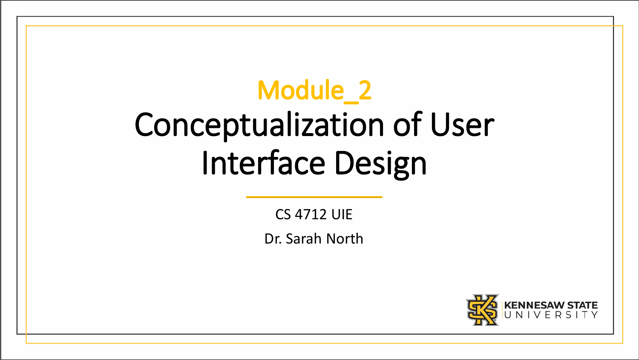# Module\_2 Conceptualization of User Interface Design

CS 4712 UIE

Dr. Sarah North

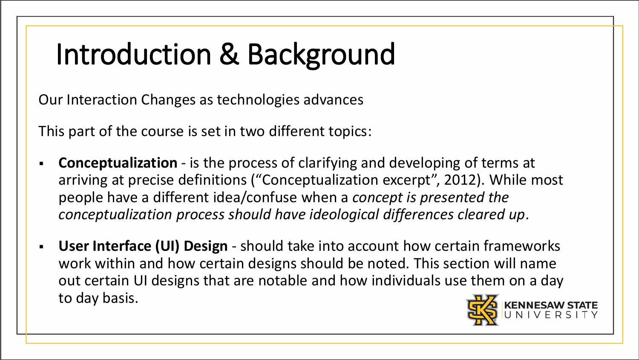# Introduction & Background

Our Interaction Changes as technologies advances

This part of the course is set in two different topics:

- **Conceptualization** is the process of clarifying and developing of terms at arriving at precise definitions ("Conceptualization excerpt", 2012). While most people have a different idea/confuse when a *concept is presented the conceptualization process should have ideological differences cleared up*.
- **User Interface (UI) Design** should take into account how certain frameworks work within and how certain designs should be noted. This section will name out certain UI designs that are notable and how individuals use them on a day to day basis.

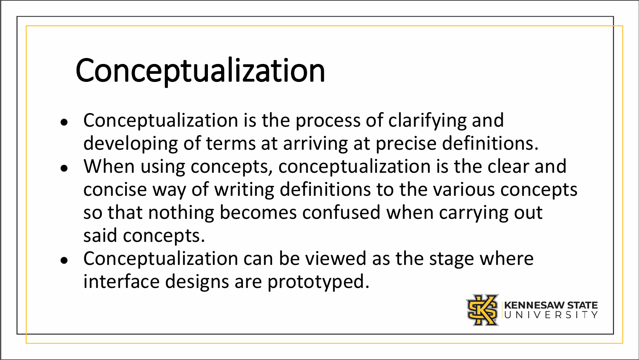# Conceptualization

- Conceptualization is the process of clarifying and developing of terms at arriving at precise definitions.
- When using concepts, conceptualization is the clear and concise way of writing definitions to the various concepts so that nothing becomes confused when carrying out said concepts.
- Conceptualization can be viewed as the stage where interface designs are prototyped.

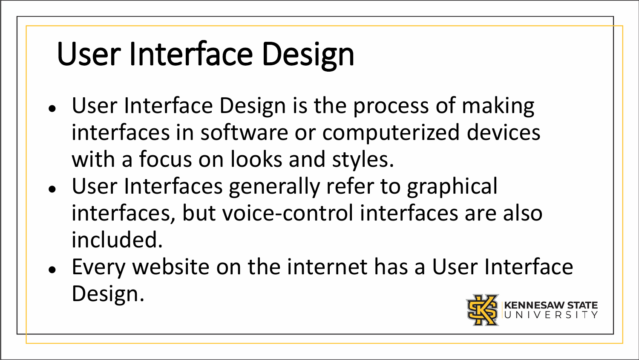# User Interface Design

- User Interface Design is the process of making interfaces in software or computerized devices with a focus on looks and styles.
- User Interfaces generally refer to graphical interfaces, but voice-control interfaces are also included.
- Every website on the internet has a User Interface Design.

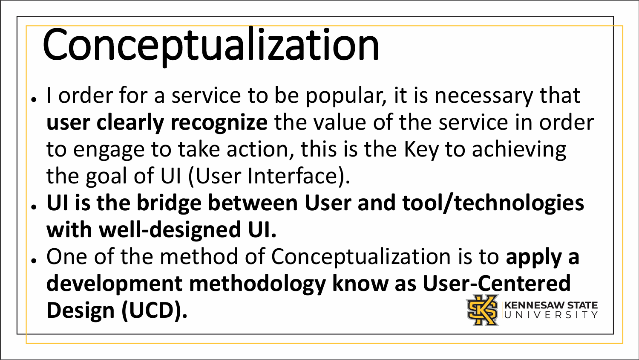# Conceptualization

- I order for a service to be popular, it is necessary that **user clearly recognize** the value of the service in order to engage to take action, this is the Key to achieving the goal of UI (User Interface).
- **UI is the bridge between User and tool/technologies with well-designed UI.**
- One of the method of Conceptualization is to **apply a development methodology know as User-Centered Design (UCD).**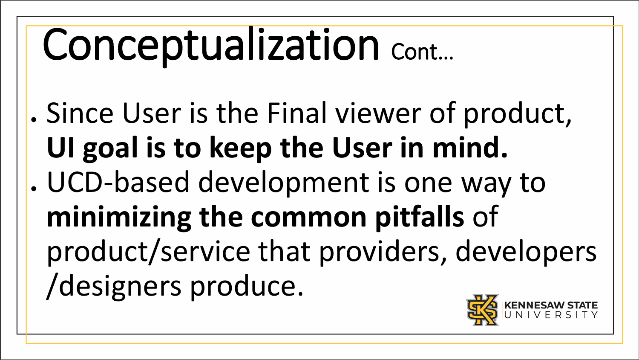# Conceptualization Cont...

. Since User is the Final viewer of product, **UI goal is to keep the User in mind.** . UCD-based development is one way to **minimizing the common pitfalls** of product/service that providers, developers /designers produce.

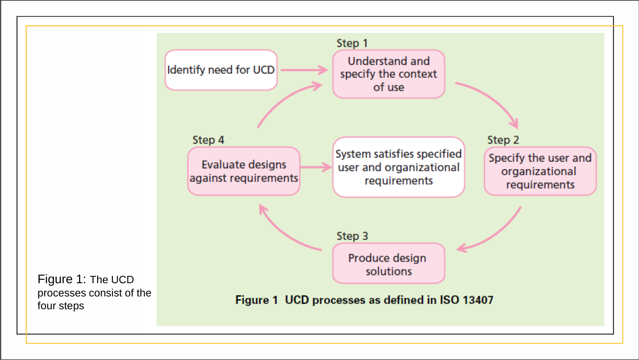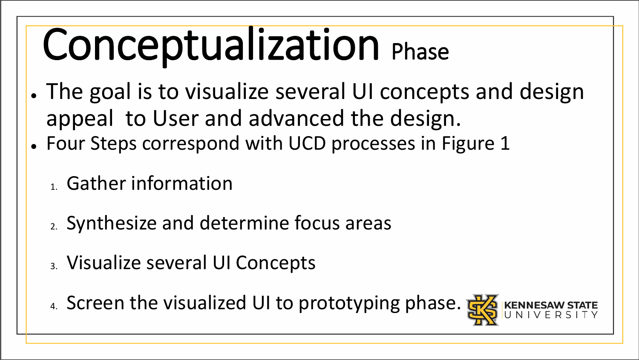# Conceptualization Phase

- The goal is to visualize several UI concepts and design appeal to User and advanced the design.
- Four Steps correspond with UCD processes in Figure 1
	- 1. Gather information
	- 2. Synthesize and determine focus areas
	- 3. Visualize several UI Concepts
	- 4. Screen the visualized UI to prototyping phase. **显**

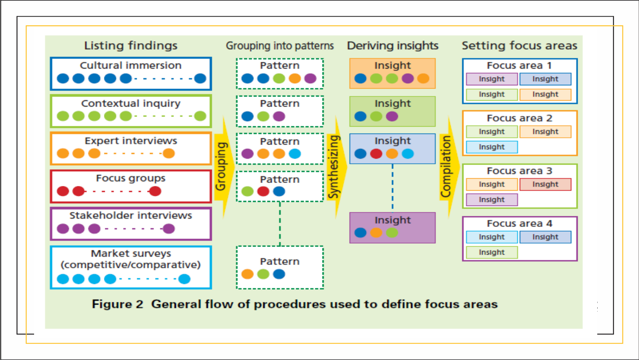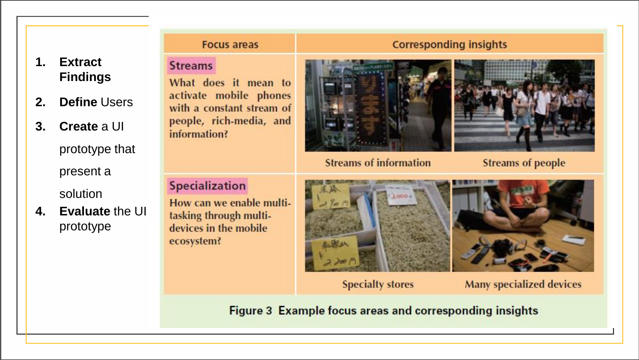#### **Focus areas**

#### **1. Extract Findings**

- **2. Define** Users
- **3. Create** a UI

prototype that present a

solution

**4. Evaluate** the UI prototype

#### **Streams**

What does it mean to activate mobile phones with a constant stream of people, rich-media, and information?

#### **Corresponding insights**



**Streams of information** 



**Streams of people** 

#### **Specialization**

How can we enable multitasking through multidevices in the mobile ecosystem?



**Specialty stores** 

**Many specialized devices** 

**Figure 3 Example focus areas and corresponding insights**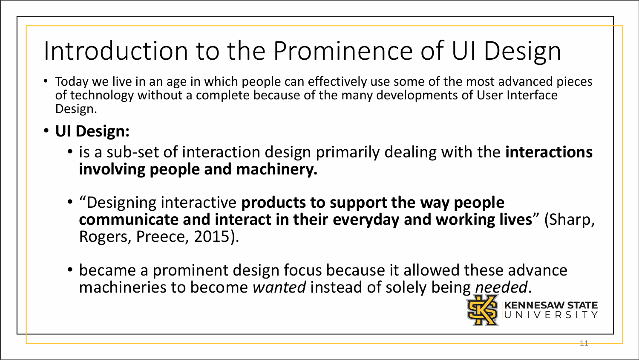## Introduction to the Prominence of UI Design

- Today we live in an age in which people can effectively use some of the most advanced pieces of technology without a complete because of the many developments of User Interface Design.
- **UI Design:** 
	- is a sub-set of interaction design primarily dealing with the **interactions involving people and machinery.**
	- "Designing interactive **products to support the way people communicate and interact in their everyday and working lives**" (Sharp, Rogers, Preece, 2015).

11

• became a prominent design focus because it allowed these advance machineries to become *wanted* instead of solely being *needed*.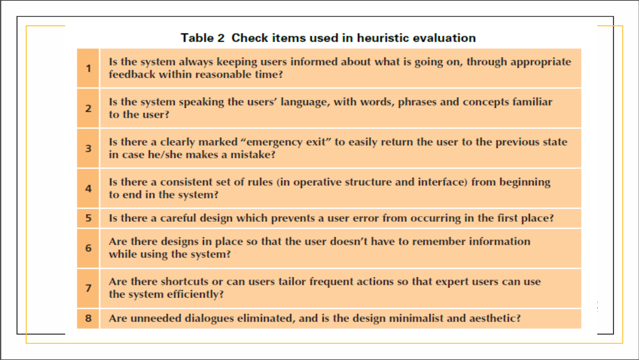#### Table 2 Check items used in heuristic evaluation

Is the system always keeping users informed about what is going on, through appropriate  $\overline{1}$ feedback within reasonable time? Is the system speaking the users' language, with words, phrases and concepts familiar  $\overline{2}$ to the user? Is there a clearly marked "emergency exit" to easily return the user to the previous state  $\overline{3}$ in case he/she makes a mistake? Is there a consistent set of rules (in operative structure and interface) from beginning  $\overline{a}$ to end in the system? 5 Is there a careful design which prevents a user error from occurring in the first place? Are there designs in place so that the user doesn't have to remember information 6 while using the system? Are there shortcuts or can users tailor frequent actions so that expert users can use  $\overline{7}$ the system efficiently? Are unneeded dialogues eliminated, and is the design minimalist and aesthetic? 8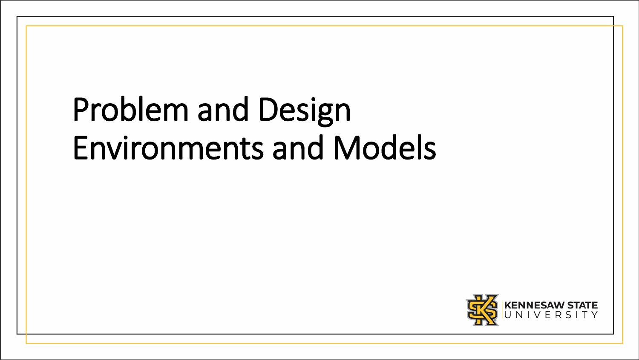# Problem and Design Environments and Models

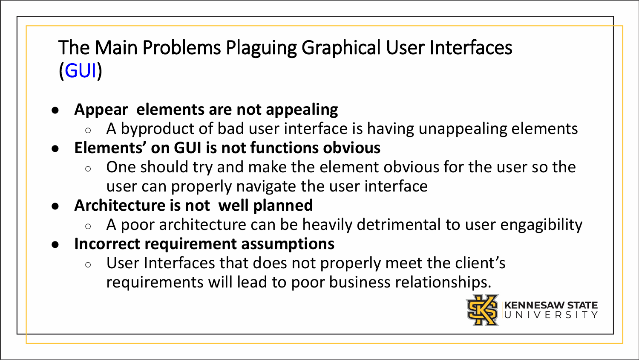### The Main Problems Plaguing Graphical User Interfaces (GUI)

- **Appear elements are not appealing**
	- A byproduct of bad user interface is having unappealing elements
- **Elements' on GUI is not functions obvious**
	- $\circ$  One should try and make the element obvious for the user so the user can properly navigate the user interface
- **Architecture is not well planned**
	- A poor architecture can be heavily detrimental to user engagibility
- **Incorrect requirement assumptions**
	- User Interfaces that does not properly meet the client's requirements will lead to poor business relationships.

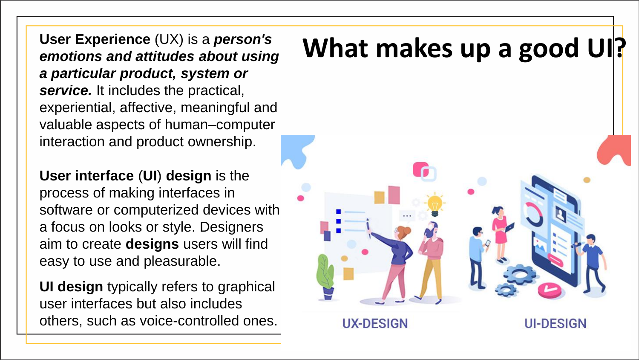*emotions and attitudes about using a particular product, system or service.* It includes the practical, experiential, affective, meaningful and valuable aspects of human–computer interaction and product ownership.

**User interface** (**UI**) **design** is the process of making interfaces in software or computerized devices with a focus on looks or style. Designers aim to create **designs** users will find easy to use and pleasurable.

**UI design** typically refers to graphical user interfaces but also includes others, such as voice-controlled ones.

# User Experience (UX) is a *person's* **What makes up a good UI?** emotions and attitudes about using **What makes up a good UI?**



**UI-DESIGN** 

**UX-DESIGN**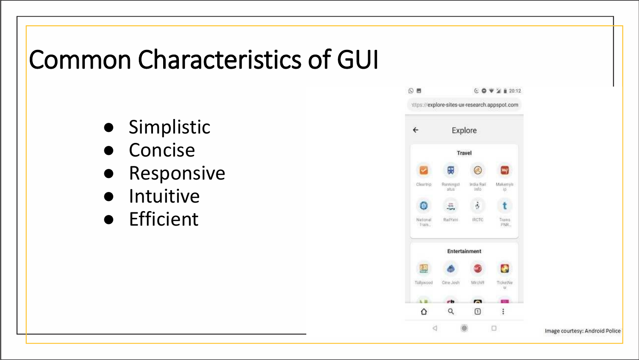### Common Characteristics of GUI

- Simplistic
- Concise
- Responsive
- Intuitive
- Efficient



Image courtesy: Android Police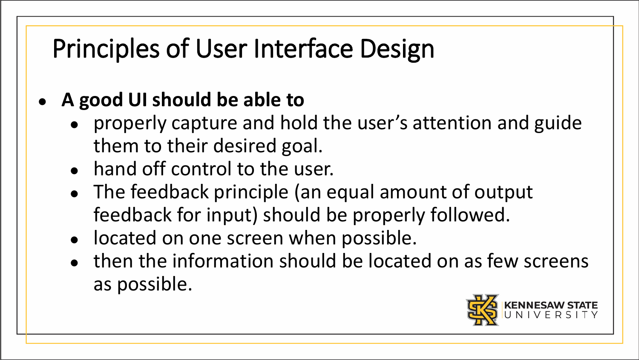## Principles of User Interface Design

#### ● **A good UI should be able to**

- properly capture and hold the user's attention and guide them to their desired goal.
- hand off control to the user.
- The feedback principle (an equal amount of output feedback for input) should be properly followed.
- located on one screen when possible.
- then the information should be located on as few screens as possible.

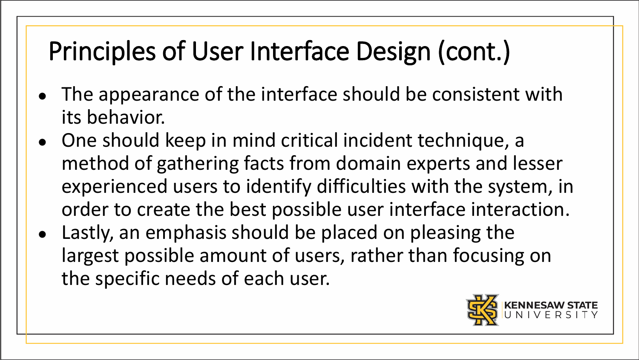## Principles of User Interface Design (cont.)

- The appearance of the interface should be consistent with its behavior.
- One should keep in mind critical incident technique, a method of gathering facts from domain experts and lesser experienced users to identify difficulties with the system, in order to create the best possible user interface interaction.
- Lastly, an emphasis should be placed on pleasing the largest possible amount of users, rather than focusing on the specific needs of each user.

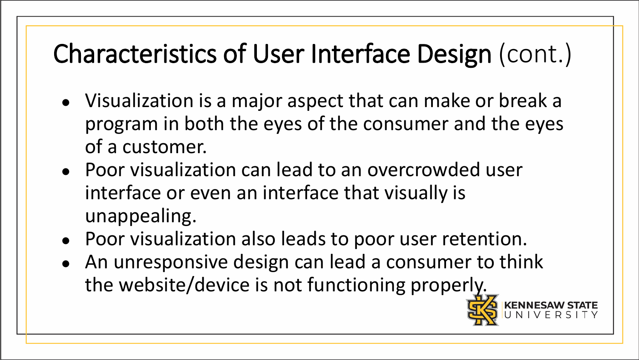### Characteristics of User Interface Design (cont.)

- Visualization is a major aspect that can make or break a program in both the eyes of the consumer and the eyes of a customer.
- Poor visualization can lead to an overcrowded user interface or even an interface that visually is unappealing.
- Poor visualization also leads to poor user retention.
- An unresponsive design can lead a consumer to think the website/device is not functioning properly.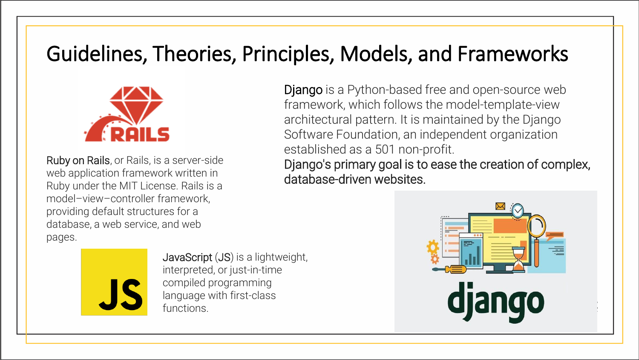### Guidelines, Theories, Principles, Models, and Frameworks



Ruby on Rails, or Rails, is a server-side web application framework written in Ruby under the MIT License. Rails is a model–view–controller framework, providing default structures for a database, a web service, and web pages.

Django is a Python-based free and open-source web framework, which follows the model-template-view architectural pattern. It is maintained by the Django Software Foundation, an independent organization established as a 501 non-profit.

Django's primary goal is to ease the creation of complex, database-driven websites.





JavaScript (JS) is a lightweight, interpreted, or just-in-time compiled programming language with first-class functions.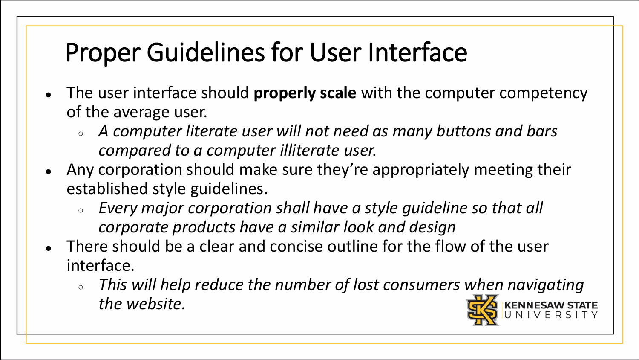## Proper Guidelines for User Interface

- The user interface should **properly scale** with the computer competency of the average user.
	- *A computer literate user will not need as many buttons and bars compared to a computer illiterate user.*
- Any corporation should make sure they're appropriately meeting their established style guidelines.
	- *Every major corporation shall have a style guideline so that all corporate products have a similar look and design*
- There should be a clear and concise outline for the flow of the user interface.
	- *This will help reduce the number of lost consumers when navigating the website.*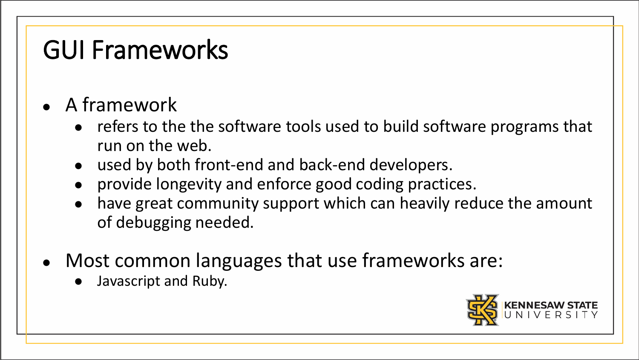### GUI Frameworks

- A framework
	- refers to the the software tools used to build software programs that run on the web.
	- used by both front-end and back-end developers.
	- provide longevity and enforce good coding practices.
	- have great community support which can heavily reduce the amount of debugging needed.
- Most common languages that use frameworks are:
	- Javascript and Ruby.